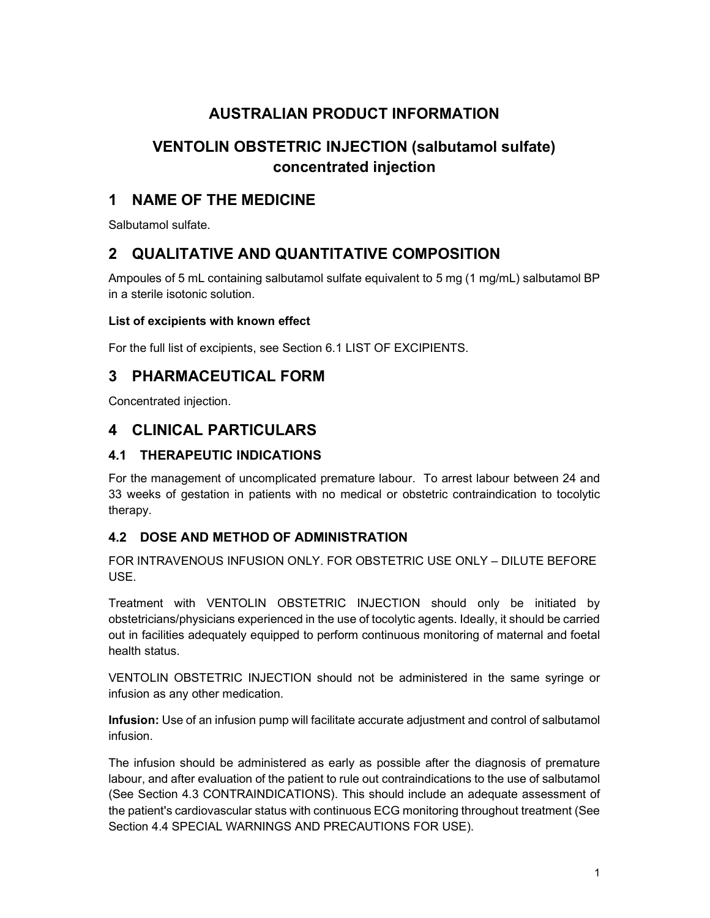# AUSTRALIAN PRODUCT INFORMATION

# VENTOLIN OBSTETRIC INJECTION (salbutamol sulfate) concentrated injection

# 1 NAME OF THE MEDICINE

Salbutamol sulfate.

# 2 QUALITATIVE AND QUANTITATIVE COMPOSITION

Ampoules of 5 mL containing salbutamol sulfate equivalent to 5 mg (1 mg/mL) salbutamol BP in a sterile isotonic solution.

### List of excipients with known effect

For the full list of excipients, see Section 6.1 LIST OF EXCIPIENTS.

# 3 PHARMACEUTICAL FORM

Concentrated injection.

# 4 CLINICAL PARTICULARS

## 4.1 THERAPEUTIC INDICATIONS

For the management of uncomplicated premature labour. To arrest labour between 24 and 33 weeks of gestation in patients with no medical or obstetric contraindication to tocolytic therapy.

## 4.2 DOSE AND METHOD OF ADMINISTRATION

FOR INTRAVENOUS INFUSION ONLY. FOR OBSTETRIC USE ONLY – DILUTE BEFORE **USE** 

Treatment with VENTOLIN OBSTETRIC INJECTION should only be initiated by obstetricians/physicians experienced in the use of tocolytic agents. Ideally, it should be carried out in facilities adequately equipped to perform continuous monitoring of maternal and foetal health status.

VENTOLIN OBSTETRIC INJECTION should not be administered in the same syringe or infusion as any other medication.

Infusion: Use of an infusion pump will facilitate accurate adjustment and control of salbutamol infusion.

The infusion should be administered as early as possible after the diagnosis of premature labour, and after evaluation of the patient to rule out contraindications to the use of salbutamol (See Section 4.3 CONTRAINDICATIONS). This should include an adequate assessment of the patient's cardiovascular status with continuous ECG monitoring throughout treatment (See Section 4.4 SPECIAL WARNINGS AND PRECAUTIONS FOR USE).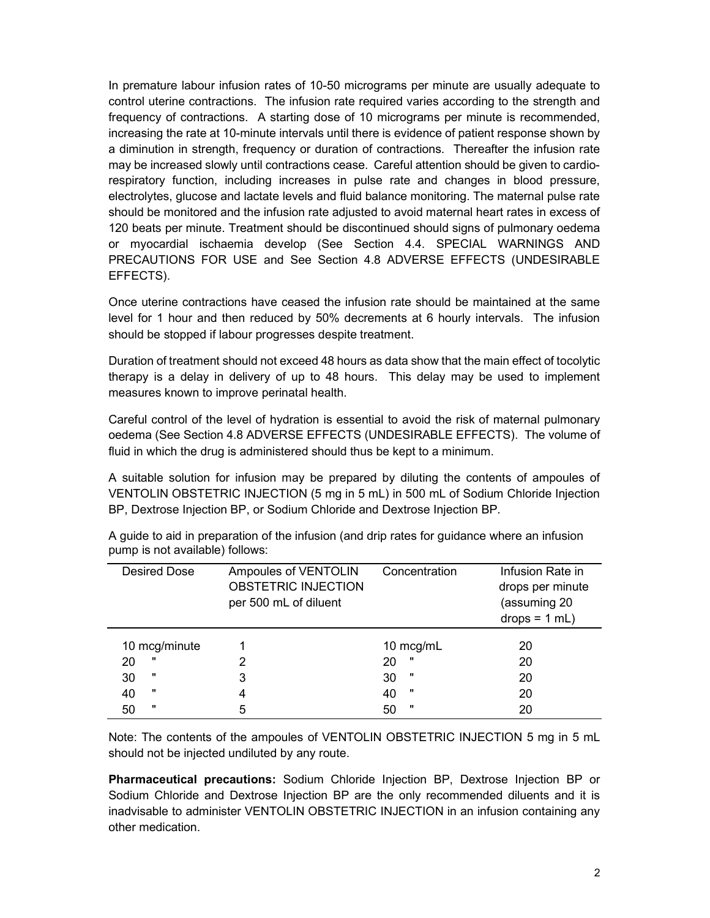In premature labour infusion rates of 10-50 micrograms per minute are usually adequate to control uterine contractions. The infusion rate required varies according to the strength and frequency of contractions. A starting dose of 10 micrograms per minute is recommended, increasing the rate at 10-minute intervals until there is evidence of patient response shown by a diminution in strength, frequency or duration of contractions. Thereafter the infusion rate may be increased slowly until contractions cease. Careful attention should be given to cardiorespiratory function, including increases in pulse rate and changes in blood pressure, electrolytes, glucose and lactate levels and fluid balance monitoring. The maternal pulse rate should be monitored and the infusion rate adjusted to avoid maternal heart rates in excess of 120 beats per minute. Treatment should be discontinued should signs of pulmonary oedema or myocardial ischaemia develop (See Section 4.4. SPECIAL WARNINGS AND PRECAUTIONS FOR USE and See Section 4.8 ADVERSE EFFECTS (UNDESIRABLE EFFECTS).

Once uterine contractions have ceased the infusion rate should be maintained at the same level for 1 hour and then reduced by 50% decrements at 6 hourly intervals. The infusion should be stopped if labour progresses despite treatment.

Duration of treatment should not exceed 48 hours as data show that the main effect of tocolytic therapy is a delay in delivery of up to 48 hours. This delay may be used to implement measures known to improve perinatal health.

Careful control of the level of hydration is essential to avoid the risk of maternal pulmonary oedema (See Section 4.8 ADVERSE EFFECTS (UNDESIRABLE EFFECTS). The volume of fluid in which the drug is administered should thus be kept to a minimum.

A suitable solution for infusion may be prepared by diluting the contents of ampoules of VENTOLIN OBSTETRIC INJECTION (5 mg in 5 mL) in 500 mL of Sodium Chloride Injection BP, Dextrose Injection BP, or Sodium Chloride and Dextrose Injection BP.

| Desired Dose       |   | Ampoules of VENTOLIN<br><b>OBSTETRIC INJECTION</b><br>per 500 mL of diluent | Concentration | Infusion Rate in<br>drops per minute<br>(assuming 20<br>$drops = 1 mL)$ |
|--------------------|---|-----------------------------------------------------------------------------|---------------|-------------------------------------------------------------------------|
| 10 mcg/minute      |   |                                                                             | 10 mcg/mL     | 20                                                                      |
| 20                 | 2 | 20                                                                          | w             | 20                                                                      |
| 30                 | 3 | 30                                                                          |               | 20                                                                      |
| 40                 | 4 | 40                                                                          | w             | 20                                                                      |
| $\mathbf{u}$<br>50 | 5 | 50                                                                          | $\mathbf{u}$  | 20                                                                      |

A guide to aid in preparation of the infusion (and drip rates for guidance where an infusion pump is not available) follows:

Note: The contents of the ampoules of VENTOLIN OBSTETRIC INJECTION 5 mg in 5 mL should not be injected undiluted by any route.

Pharmaceutical precautions: Sodium Chloride Injection BP, Dextrose Injection BP or Sodium Chloride and Dextrose Injection BP are the only recommended diluents and it is inadvisable to administer VENTOLIN OBSTETRIC INJECTION in an infusion containing any other medication.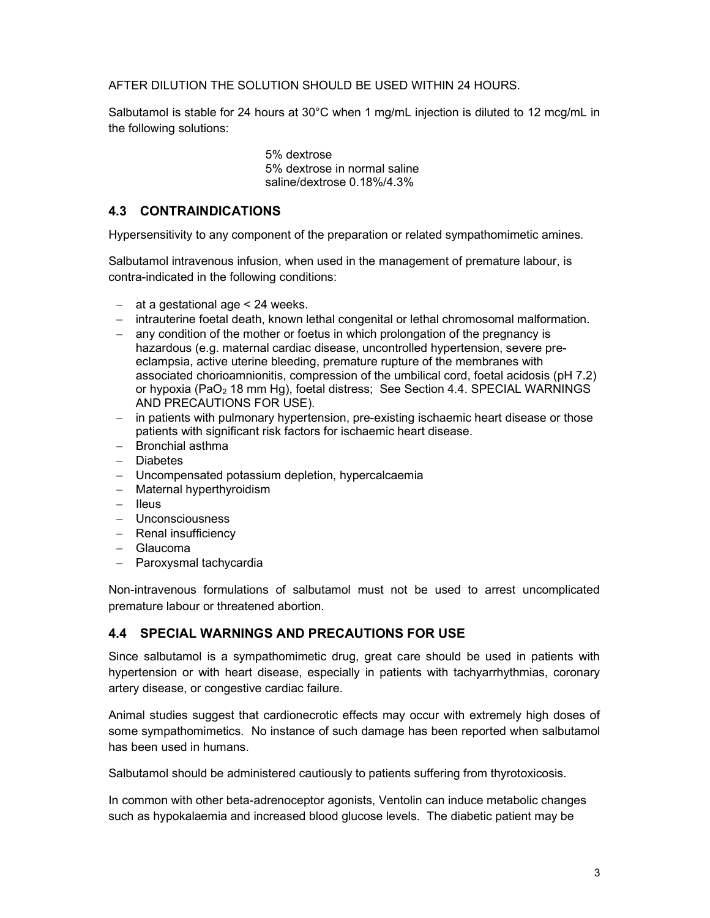AFTER DILUTION THE SOLUTION SHOULD BE USED WITHIN 24 HOURS.

Salbutamol is stable for 24 hours at 30°C when 1 mg/mL injection is diluted to 12 mcg/mL in the following solutions:

> 5% dextrose 5% dextrose in normal saline saline/dextrose 0.18%/4.3%

### 4.3 CONTRAINDICATIONS

Hypersensitivity to any component of the preparation or related sympathomimetic amines.

Salbutamol intravenous infusion, when used in the management of premature labour, is contra-indicated in the following conditions:

- $-$  at a gestational age  $<$  24 weeks.
- intrauterine foetal death, known lethal congenital or lethal chromosomal malformation.
- any condition of the mother or foetus in which prolongation of the pregnancy is hazardous (e.g. maternal cardiac disease, uncontrolled hypertension, severe preeclampsia, active uterine bleeding, premature rupture of the membranes with associated chorioamnionitis, compression of the umbilical cord, foetal acidosis (pH 7.2) or hypoxia (PaO<sub>2</sub> 18 mm Hg), foetal distress; See Section 4.4. SPECIAL WARNINGS AND PRECAUTIONS FOR USE).
- in patients with pulmonary hypertension, pre-existing ischaemic heart disease or those patients with significant risk factors for ischaemic heart disease.
- Bronchial asthma
- Diabetes
- Uncompensated potassium depletion, hypercalcaemia
- Maternal hyperthyroidism
- Ileus
- Unconsciousness
- Renal insufficiency
- Glaucoma
- $-$  Paroxysmal tachycardia

Non-intravenous formulations of salbutamol must not be used to arrest uncomplicated premature labour or threatened abortion.

### 4.4 SPECIAL WARNINGS AND PRECAUTIONS FOR USE

Since salbutamol is a sympathomimetic drug, great care should be used in patients with hypertension or with heart disease, especially in patients with tachyarrhythmias, coronary artery disease, or congestive cardiac failure.

Animal studies suggest that cardionecrotic effects may occur with extremely high doses of some sympathomimetics. No instance of such damage has been reported when salbutamol has been used in humans.

Salbutamol should be administered cautiously to patients suffering from thyrotoxicosis.

In common with other beta-adrenoceptor agonists, Ventolin can induce metabolic changes such as hypokalaemia and increased blood glucose levels. The diabetic patient may be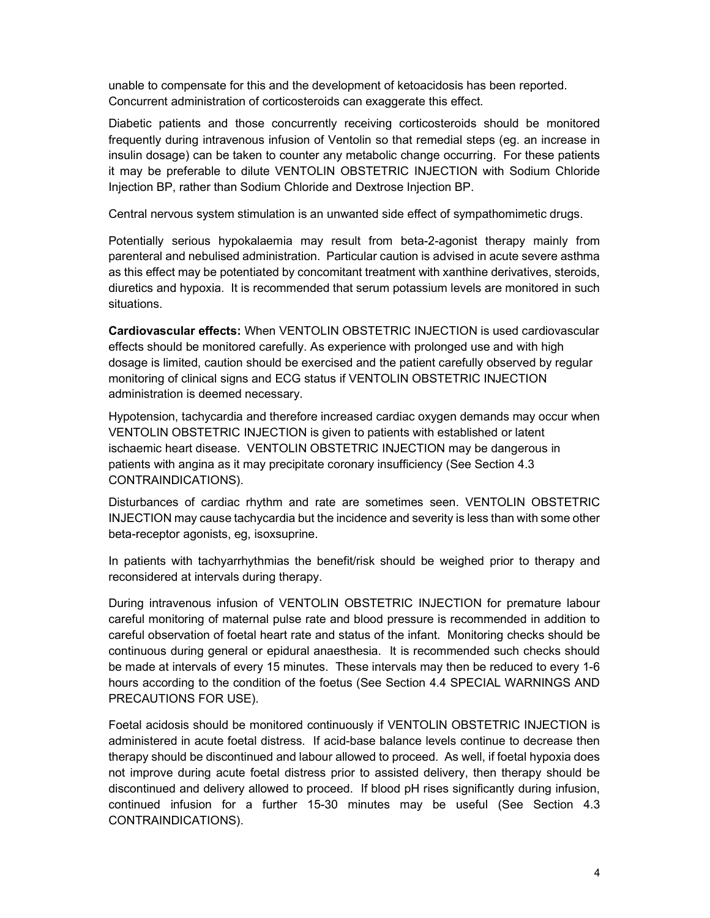unable to compensate for this and the development of ketoacidosis has been reported. Concurrent administration of corticosteroids can exaggerate this effect.

Diabetic patients and those concurrently receiving corticosteroids should be monitored frequently during intravenous infusion of Ventolin so that remedial steps (eg. an increase in insulin dosage) can be taken to counter any metabolic change occurring. For these patients it may be preferable to dilute VENTOLIN OBSTETRIC INJECTION with Sodium Chloride Injection BP, rather than Sodium Chloride and Dextrose Injection BP.

Central nervous system stimulation is an unwanted side effect of sympathomimetic drugs.

Potentially serious hypokalaemia may result from beta-2-agonist therapy mainly from parenteral and nebulised administration. Particular caution is advised in acute severe asthma as this effect may be potentiated by concomitant treatment with xanthine derivatives, steroids, diuretics and hypoxia. It is recommended that serum potassium levels are monitored in such situations.

Cardiovascular effects: When VENTOLIN OBSTETRIC INJECTION is used cardiovascular effects should be monitored carefully. As experience with prolonged use and with high dosage is limited, caution should be exercised and the patient carefully observed by regular monitoring of clinical signs and ECG status if VENTOLIN OBSTETRIC INJECTION administration is deemed necessary.

Hypotension, tachycardia and therefore increased cardiac oxygen demands may occur when VENTOLIN OBSTETRIC INJECTION is given to patients with established or latent ischaemic heart disease. VENTOLIN OBSTETRIC INJECTION may be dangerous in patients with angina as it may precipitate coronary insufficiency (See Section 4.3 CONTRAINDICATIONS).

Disturbances of cardiac rhythm and rate are sometimes seen. VENTOLIN OBSTETRIC INJECTION may cause tachycardia but the incidence and severity is less than with some other beta-receptor agonists, eg, isoxsuprine.

In patients with tachyarrhythmias the benefit/risk should be weighed prior to therapy and reconsidered at intervals during therapy.

During intravenous infusion of VENTOLIN OBSTETRIC INJECTION for premature labour careful monitoring of maternal pulse rate and blood pressure is recommended in addition to careful observation of foetal heart rate and status of the infant. Monitoring checks should be continuous during general or epidural anaesthesia. It is recommended such checks should be made at intervals of every 15 minutes. These intervals may then be reduced to every 1-6 hours according to the condition of the foetus (See Section 4.4 SPECIAL WARNINGS AND PRECAUTIONS FOR USE).

Foetal acidosis should be monitored continuously if VENTOLIN OBSTETRIC INJECTION is administered in acute foetal distress. If acid-base balance levels continue to decrease then therapy should be discontinued and labour allowed to proceed. As well, if foetal hypoxia does not improve during acute foetal distress prior to assisted delivery, then therapy should be discontinued and delivery allowed to proceed. If blood pH rises significantly during infusion, continued infusion for a further 15-30 minutes may be useful (See Section 4.3 CONTRAINDICATIONS).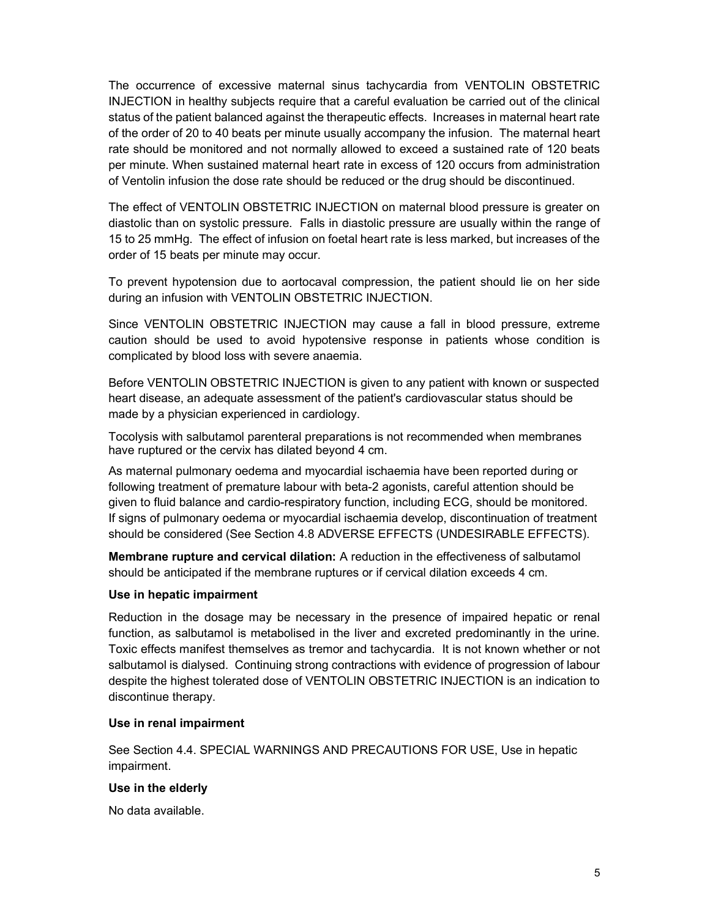The occurrence of excessive maternal sinus tachycardia from VENTOLIN OBSTETRIC INJECTION in healthy subjects require that a careful evaluation be carried out of the clinical status of the patient balanced against the therapeutic effects. Increases in maternal heart rate of the order of 20 to 40 beats per minute usually accompany the infusion. The maternal heart rate should be monitored and not normally allowed to exceed a sustained rate of 120 beats per minute. When sustained maternal heart rate in excess of 120 occurs from administration of Ventolin infusion the dose rate should be reduced or the drug should be discontinued.

The effect of VENTOLIN OBSTETRIC INJECTION on maternal blood pressure is greater on diastolic than on systolic pressure. Falls in diastolic pressure are usually within the range of 15 to 25 mmHg. The effect of infusion on foetal heart rate is less marked, but increases of the order of 15 beats per minute may occur.

To prevent hypotension due to aortocaval compression, the patient should lie on her side during an infusion with VENTOLIN OBSTETRIC INJECTION.

Since VENTOLIN OBSTETRIC INJECTION may cause a fall in blood pressure, extreme caution should be used to avoid hypotensive response in patients whose condition is complicated by blood loss with severe anaemia.

Before VENTOLIN OBSTETRIC INJECTION is given to any patient with known or suspected heart disease, an adequate assessment of the patient's cardiovascular status should be made by a physician experienced in cardiology.

Tocolysis with salbutamol parenteral preparations is not recommended when membranes have ruptured or the cervix has dilated beyond 4 cm.

As maternal pulmonary oedema and myocardial ischaemia have been reported during or following treatment of premature labour with beta-2 agonists, careful attention should be given to fluid balance and cardio-respiratory function, including ECG, should be monitored. If signs of pulmonary oedema or myocardial ischaemia develop, discontinuation of treatment should be considered (See Section 4.8 ADVERSE EFFECTS (UNDESIRABLE EFFECTS).

Membrane rupture and cervical dilation: A reduction in the effectiveness of salbutamol should be anticipated if the membrane ruptures or if cervical dilation exceeds 4 cm.

#### Use in hepatic impairment

Reduction in the dosage may be necessary in the presence of impaired hepatic or renal function, as salbutamol is metabolised in the liver and excreted predominantly in the urine. Toxic effects manifest themselves as tremor and tachycardia. It is not known whether or not salbutamol is dialysed. Continuing strong contractions with evidence of progression of labour despite the highest tolerated dose of VENTOLIN OBSTETRIC INJECTION is an indication to discontinue therapy.

#### Use in renal impairment

See Section 4.4. SPECIAL WARNINGS AND PRECAUTIONS FOR USE, Use in hepatic impairment.

#### Use in the elderly

No data available.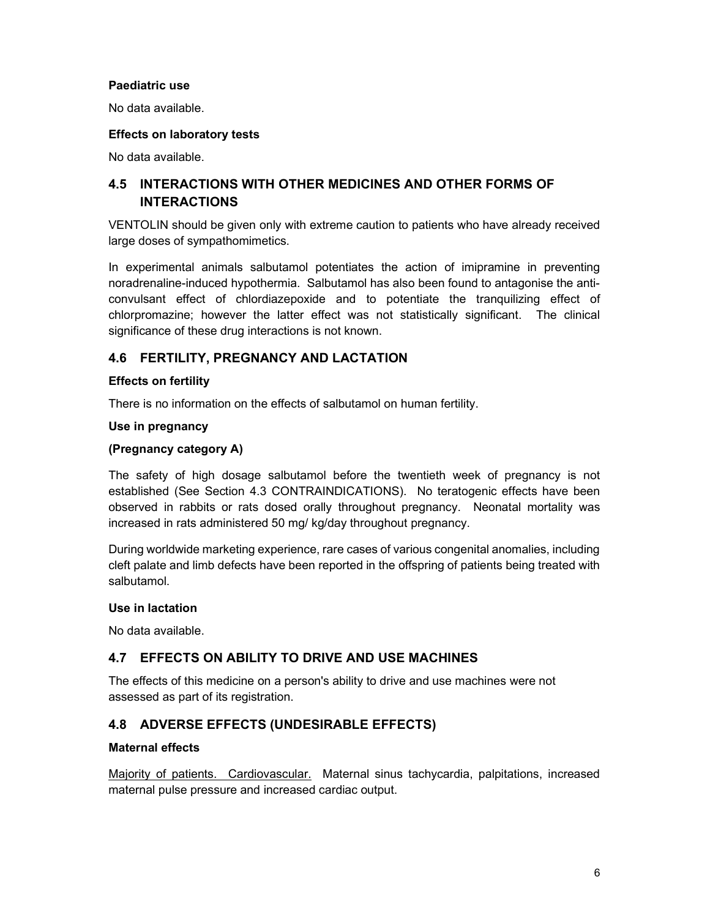### Paediatric use

No data available.

#### Effects on laboratory tests

No data available.

## 4.5 INTERACTIONS WITH OTHER MEDICINES AND OTHER FORMS OF INTERACTIONS

VENTOLIN should be given only with extreme caution to patients who have already received large doses of sympathomimetics.

In experimental animals salbutamol potentiates the action of imipramine in preventing noradrenaline-induced hypothermia. Salbutamol has also been found to antagonise the anticonvulsant effect of chlordiazepoxide and to potentiate the tranquilizing effect of chlorpromazine; however the latter effect was not statistically significant. The clinical significance of these drug interactions is not known.

### 4.6 FERTILITY, PREGNANCY AND LACTATION

### Effects on fertility

There is no information on the effects of salbutamol on human fertility.

#### Use in pregnancy

#### (Pregnancy category A)

The safety of high dosage salbutamol before the twentieth week of pregnancy is not established (See Section 4.3 CONTRAINDICATIONS). No teratogenic effects have been observed in rabbits or rats dosed orally throughout pregnancy. Neonatal mortality was increased in rats administered 50 mg/ kg/day throughout pregnancy.

During worldwide marketing experience, rare cases of various congenital anomalies, including cleft palate and limb defects have been reported in the offspring of patients being treated with salbutamol.

### Use in lactation

No data available.

### 4.7 EFFECTS ON ABILITY TO DRIVE AND USE MACHINES

The effects of this medicine on a person's ability to drive and use machines were not assessed as part of its registration.

### 4.8 ADVERSE EFFECTS (UNDESIRABLE EFFECTS)

#### Maternal effects

Majority of patients. Cardiovascular. Maternal sinus tachycardia, palpitations, increased maternal pulse pressure and increased cardiac output.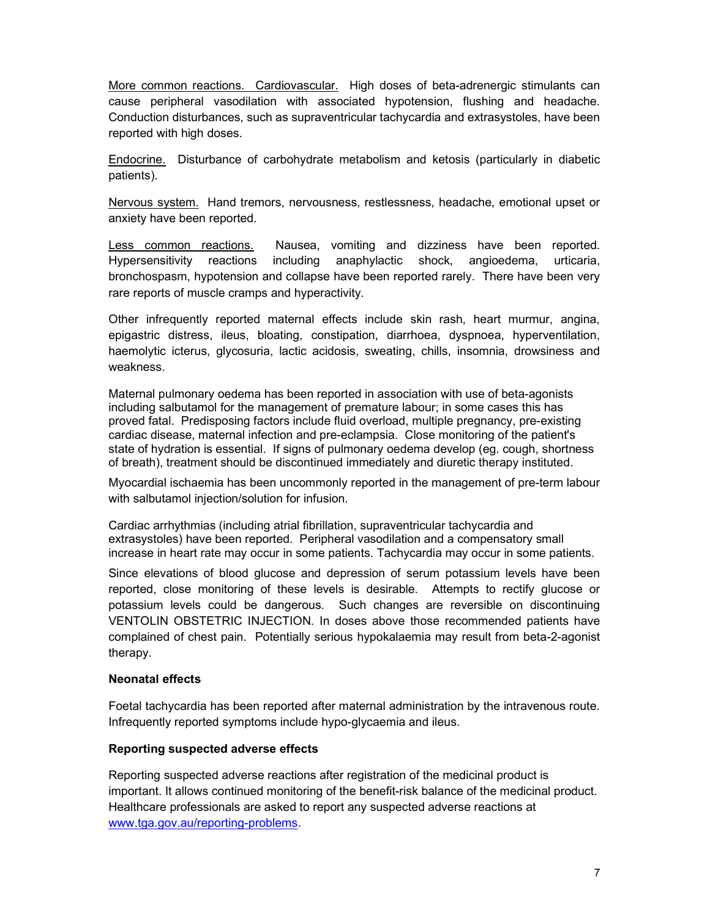More common reactions. Cardiovascular. High doses of beta-adrenergic stimulants can cause peripheral vasodilation with associated hypotension, flushing and headache. Conduction disturbances, such as supraventricular tachycardia and extrasystoles, have been reported with high doses.

Endocrine. Disturbance of carbohydrate metabolism and ketosis (particularly in diabetic patients).

Nervous system. Hand tremors, nervousness, restlessness, headache, emotional upset or anxiety have been reported.

Less common reactions. Nausea, vomiting and dizziness have been reported. Hypersensitivity reactions including anaphylactic shock, angioedema, urticaria, bronchospasm, hypotension and collapse have been reported rarely. There have been very rare reports of muscle cramps and hyperactivity.

Other infrequently reported maternal effects include skin rash, heart murmur, angina, epigastric distress, ileus, bloating, constipation, diarrhoea, dyspnoea, hyperventilation, haemolytic icterus, glycosuria, lactic acidosis, sweating, chills, insomnia, drowsiness and weakness.

Maternal pulmonary oedema has been reported in association with use of beta-agonists including salbutamol for the management of premature labour; in some cases this has proved fatal. Predisposing factors include fluid overload, multiple pregnancy, pre-existing cardiac disease, maternal infection and pre-eclampsia. Close monitoring of the patient's state of hydration is essential. If signs of pulmonary oedema develop (eg. cough, shortness of breath), treatment should be discontinued immediately and diuretic therapy instituted.

Myocardial ischaemia has been uncommonly reported in the management of pre-term labour with salbutamol injection/solution for infusion.

Cardiac arrhythmias (including atrial fibrillation, supraventricular tachycardia and extrasystoles) have been reported. Peripheral vasodilation and a compensatory small increase in heart rate may occur in some patients. Tachycardia may occur in some patients.

Since elevations of blood glucose and depression of serum potassium levels have been reported, close monitoring of these levels is desirable. Attempts to rectify glucose or potassium levels could be dangerous. Such changes are reversible on discontinuing VENTOLIN OBSTETRIC INJECTION. In doses above those recommended patients have complained of chest pain. Potentially serious hypokalaemia may result from beta-2-agonist therapy.

### Neonatal effects

Foetal tachycardia has been reported after maternal administration by the intravenous route. Infrequently reported symptoms include hypo-glycaemia and ileus.

#### Reporting suspected adverse effects

Reporting suspected adverse reactions after registration of the medicinal product is important. It allows continued monitoring of the benefit-risk balance of the medicinal product. Healthcare professionals are asked to report any suspected adverse reactions at www.tga.gov.au/reporting-problems.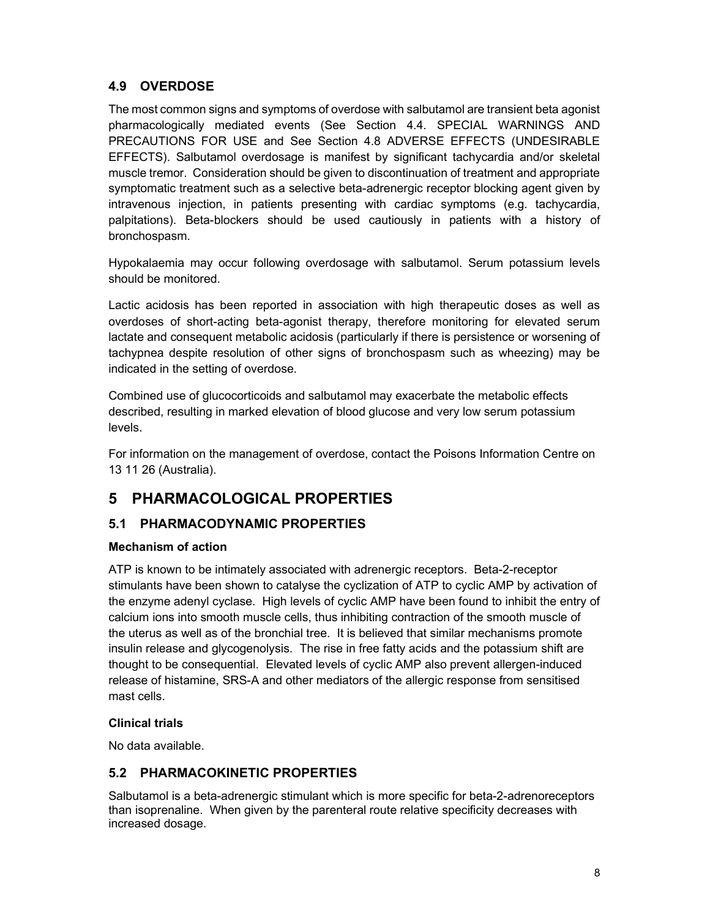## 4.9 OVERDOSE

The most common signs and symptoms of overdose with salbutamol are transient beta agonist pharmacologically mediated events (See Section 4.4. SPECIAL WARNINGS AND PRECAUTIONS FOR USE and See Section 4.8 ADVERSE EFFECTS (UNDESIRABLE EFFECTS). Salbutamol overdosage is manifest by significant tachycardia and/or skeletal muscle tremor. Consideration should be given to discontinuation of treatment and appropriate symptomatic treatment such as a selective beta-adrenergic receptor blocking agent given by intravenous injection, in patients presenting with cardiac symptoms (e.g. tachycardia, palpitations). Beta-blockers should be used cautiously in patients with a history of bronchospasm.

Hypokalaemia may occur following overdosage with salbutamol. Serum potassium levels should be monitored.

Lactic acidosis has been reported in association with high therapeutic doses as well as overdoses of short-acting beta-agonist therapy, therefore monitoring for elevated serum lactate and consequent metabolic acidosis (particularly if there is persistence or worsening of tachypnea despite resolution of other signs of bronchospasm such as wheezing) may be indicated in the setting of overdose.

Combined use of glucocorticoids and salbutamol may exacerbate the metabolic effects described, resulting in marked elevation of blood glucose and very low serum potassium levels.

For information on the management of overdose, contact the Poisons Information Centre on 13 11 26 (Australia).

# 5 PHARMACOLOGICAL PROPERTIES

## 5.1 PHARMACODYNAMIC PROPERTIES

### Mechanism of action

ATP is known to be intimately associated with adrenergic receptors. Beta-2-receptor stimulants have been shown to catalyse the cyclization of ATP to cyclic AMP by activation of the enzyme adenyl cyclase. High levels of cyclic AMP have been found to inhibit the entry of calcium ions into smooth muscle cells, thus inhibiting contraction of the smooth muscle of the uterus as well as of the bronchial tree. It is believed that similar mechanisms promote insulin release and glycogenolysis. The rise in free fatty acids and the potassium shift are thought to be consequential. Elevated levels of cyclic AMP also prevent allergen-induced release of histamine, SRS-A and other mediators of the allergic response from sensitised mast cells.

### Clinical trials

No data available.

## 5.2 PHARMACOKINETIC PROPERTIES

Salbutamol is a beta-adrenergic stimulant which is more specific for beta-2-adrenoreceptors than isoprenaline. When given by the parenteral route relative specificity decreases with increased dosage.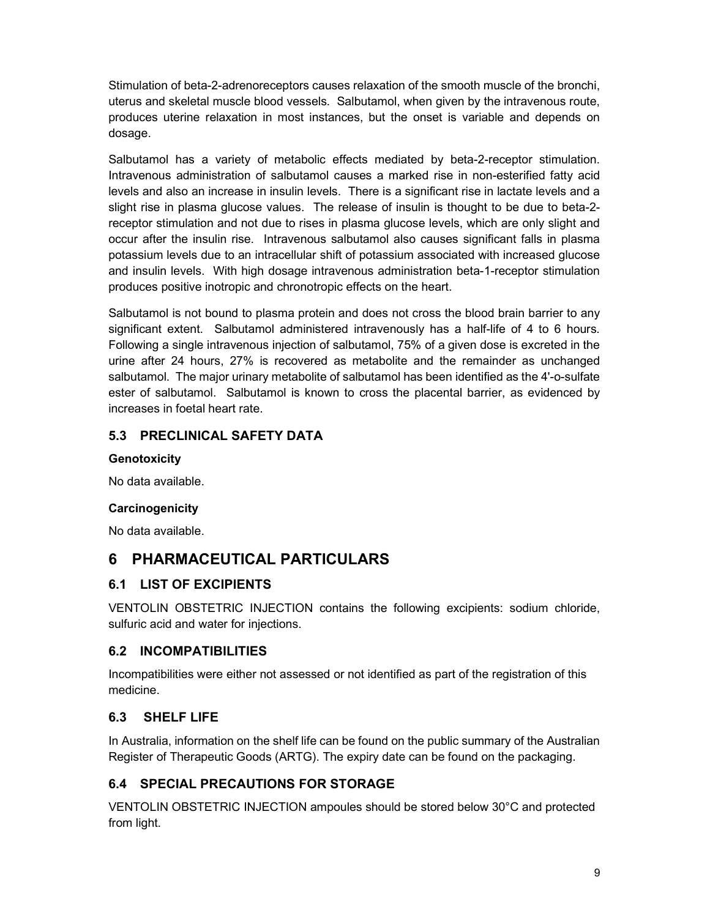Stimulation of beta-2-adrenoreceptors causes relaxation of the smooth muscle of the bronchi, uterus and skeletal muscle blood vessels. Salbutamol, when given by the intravenous route, produces uterine relaxation in most instances, but the onset is variable and depends on dosage.

Salbutamol has a variety of metabolic effects mediated by beta-2-receptor stimulation. Intravenous administration of salbutamol causes a marked rise in non-esterified fatty acid levels and also an increase in insulin levels. There is a significant rise in lactate levels and a slight rise in plasma glucose values. The release of insulin is thought to be due to beta-2 receptor stimulation and not due to rises in plasma glucose levels, which are only slight and occur after the insulin rise. Intravenous salbutamol also causes significant falls in plasma potassium levels due to an intracellular shift of potassium associated with increased glucose and insulin levels. With high dosage intravenous administration beta-1-receptor stimulation produces positive inotropic and chronotropic effects on the heart.

Salbutamol is not bound to plasma protein and does not cross the blood brain barrier to any significant extent. Salbutamol administered intravenously has a half-life of 4 to 6 hours. Following a single intravenous injection of salbutamol, 75% of a given dose is excreted in the urine after 24 hours, 27% is recovered as metabolite and the remainder as unchanged salbutamol. The major urinary metabolite of salbutamol has been identified as the 4'-o-sulfate ester of salbutamol. Salbutamol is known to cross the placental barrier, as evidenced by increases in foetal heart rate.

## 5.3 PRECLINICAL SAFETY DATA

### **Genotoxicity**

No data available.

### **Carcinogenicity**

No data available.

# 6 PHARMACEUTICAL PARTICULARS

## 6.1 LIST OF EXCIPIENTS

VENTOLIN OBSTETRIC INJECTION contains the following excipients: sodium chloride, sulfuric acid and water for injections.

## 6.2 INCOMPATIBILITIES

Incompatibilities were either not assessed or not identified as part of the registration of this medicine.

# 6.3 SHELF LIFE

In Australia, information on the shelf life can be found on the public summary of the Australian Register of Therapeutic Goods (ARTG). The expiry date can be found on the packaging.

# 6.4 SPECIAL PRECAUTIONS FOR STORAGE

VENTOLIN OBSTETRIC INJECTION ampoules should be stored below 30°C and protected from light.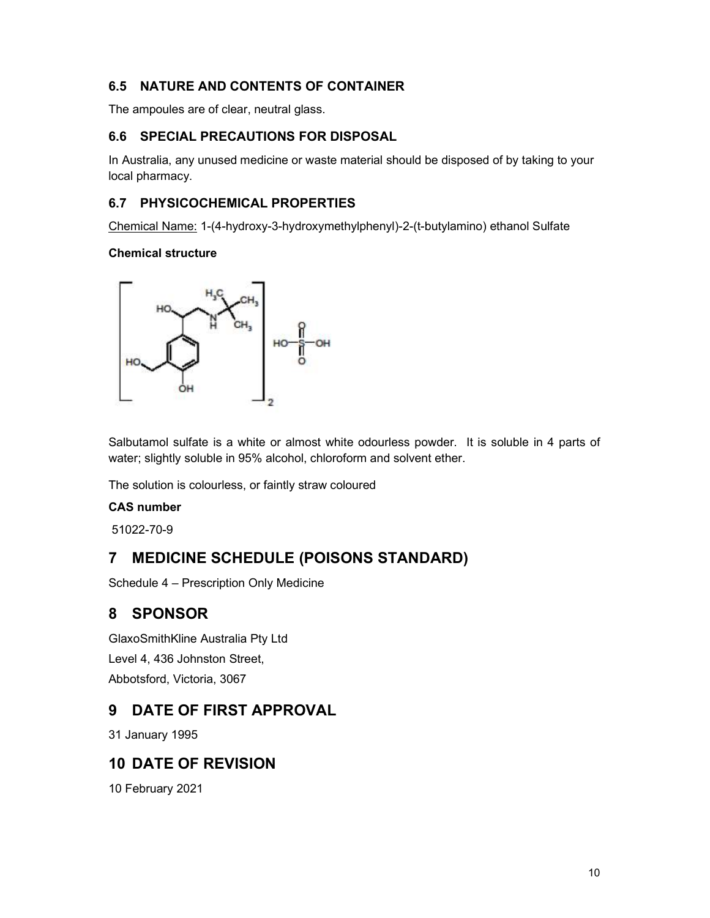## 6.5 NATURE AND CONTENTS OF CONTAINER

The ampoules are of clear, neutral glass.

## 6.6 SPECIAL PRECAUTIONS FOR DISPOSAL

In Australia, any unused medicine or waste material should be disposed of by taking to your local pharmacy.

## 6.7 PHYSICOCHEMICAL PROPERTIES

Chemical Name: 1-(4-hydroxy-3-hydroxymethylphenyl)-2-(t-butylamino) ethanol Sulfate

### Chemical structure



Salbutamol sulfate is a white or almost white odourless powder. It is soluble in 4 parts of water; slightly soluble in 95% alcohol, chloroform and solvent ether.

The solution is colourless, or faintly straw coloured

### CAS number

51022-70-9

# 7 MEDICINE SCHEDULE (POISONS STANDARD)

Schedule 4 – Prescription Only Medicine

# 8 SPONSOR

GlaxoSmithKline Australia Pty Ltd Level 4, 436 Johnston Street, Abbotsford, Victoria, 3067

# 9 DATE OF FIRST APPROVAL

31 January 1995

# 10 DATE OF REVISION

10 February 2021